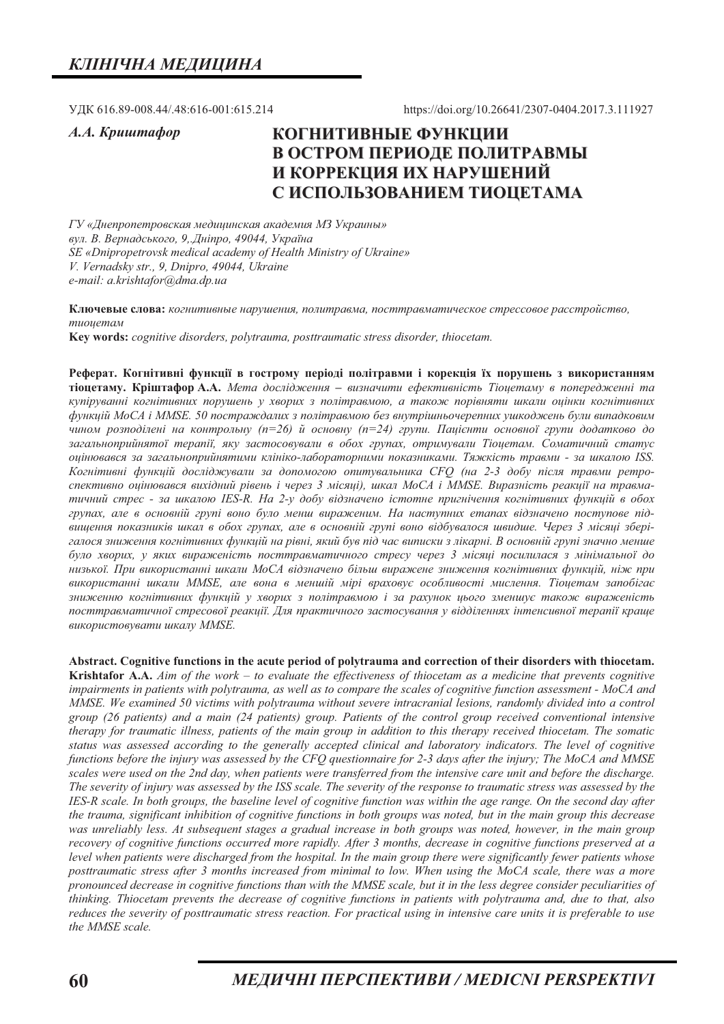УДК 616.89-008.44/.48:616-001:615.214

A.A. Kpuwmacop

https://doi.org/10.26641/2307-0404.2017.3.111927

# КОГНИТИВНЫЕ ФУНКЦИИ В ОСТРОМ ПЕРИОДЕ ПОЛИТРАВМЫ И КОРРЕКЦИЯ ИХ НАРУШЕНИЙ С ИСПОЛЬЗОВАНИЕМ ТИОЦЕТАМА

ГУ «Днепропетровская медицинская академия МЗ Украины» вул. В. Вернадського, 9, Дніпро, 49044, Україна SE «Dnipropetrovsk medical academy of Health Ministry of Ukraine» V. Vernadsky str., 9, Dnipro, 49044, Ukraine e-mail: a.krishtafor@dma.dp.ua

Ключевые слова: когнитивные нарушения, политравма, посттравматическое стрессовое расстройство, тиоиетам

Key words: cognitive disorders, polytrauma, posttraumatic stress disorder, thiocetam.

Реферат. Когнітивні функції в гострому періоді політравми і корекція їх порушень з використанням тіоцетаму. Кріштафор А.А. Мета дослідження - визначити ефективність Тіоцетаму в попередженні та купіруванні когнітивних порушень у хворих з політравмою, а також порівняти шкали оцінки когнітивних функцій MoCA і MMSE. 50 постраждалих з політравмою без внутрішньочерепних ушкоджень були випадковим чином розподілені на контрольну (n=26) й основну (n=24) групи. Пацієнти основної групи додатково до загальноприйнятої терапії, яку застосовували в обох групах, отримували Тіоцетам. Соматичний статус оцінювався за загальноприйнятими клініко-лабораторними показниками. Тяжкість травми - за шкалою ISS. Когнітивні функцій досліджували за допомогою опитувальника СЕО (на 2-3 добу після травми ретроспективно оцінювався вихідний рівень і через 3 місяці), шкал МоСА і ММЅЕ. Виразність реакції на травматичний стрес - за шкалою IES-R. На 2-у добу відзначено істотне пригнічення когнітивних функцій в обох групах, але в основній групі воно було менш вираженим. На наступних етапах відзначено поступове підвищення показників шкал в обох групах, але в основній групі воно відбувалося швидше. Через 3 місяці зберігалося зниження когнітивних функцій на рівні, який був під час виписки з лікарні. В основній групі значно менше було хворих, у яких вираженість посттравматичного стресу через 3 місяці посилилася з мінімальної до низької. При використанні шкали МоСА відзначено більш виражене зниження когнітивних функиій, ніж при використанні шкали MMSE, але вона в меншій мірі враховує особливості мислення. Тіоцетам запобігає зниженню когнітивних функиій у хворих з політравмою і за рахунок иього зменшує також вираженість посттравматичної стресової реакиїї. Для практичного застосування у відділеннях інтенсивної терапії краше використовувати шкалу MMSE.

Abstract. Cognitive functions in the acute period of polytrauma and correction of their disorders with thiocetam. **Krishtafor A.A.**  $A$ *im of the work – to evaluate the effectiveness of thiocetam as a medicine that prevents cognitive* impairments in patients with polytrauma, as well as to compare the scales of cognitive function assessment - MoCA and MMSE. We examined 50 victims with polytrauma without severe intracranial lesions, randomly divided into a control group (26 patients) and a main (24 patients) group. Patients of the control group received conventional intensive therapy for traumatic illness, patients of the main group in addition to this therapy received thiocetam. The somatic status was assessed according to the generally accepted clinical and laboratory indicators. The level of cognitive functions before the injury was assessed by the CFQ questionnaire for 2-3 days after the injury; The MoCA and MMSE scales were used on the 2nd day, when patients were transferred from the intensive care unit and before the discharge. The severity of injury was assessed by the ISS scale. The severity of the response to traumatic stress was assessed by the IES-R scale. In both groups, the baseline level of cognitive function was within the age range. On the second day after the trauma, significant inhibition of cognitive functions in both groups was noted, but in the main group this decrease was unreliably less. At subsequent stages a gradual increase in both groups was noted, however, in the main group recovery of cognitive functions occurred more rapidly. After 3 months, decrease in cognitive functions preserved at a level when patients were discharged from the hospital. In the main group there were significantly fewer patients whose posttraumatic stress after 3 months increased from minimal to low. When using the MoCA scale, there was a more pronounced decrease in cognitive functions than with the MMSE scale, but it in the less degree consider peculiarities of thinking. Thiocetam prevents the decrease of cognitive functions in patients with polytrauma and, due to that, also reduces the severity of posttraumatic stress reaction. For practical using in intensive care units it is preferable to use the MMSE scale.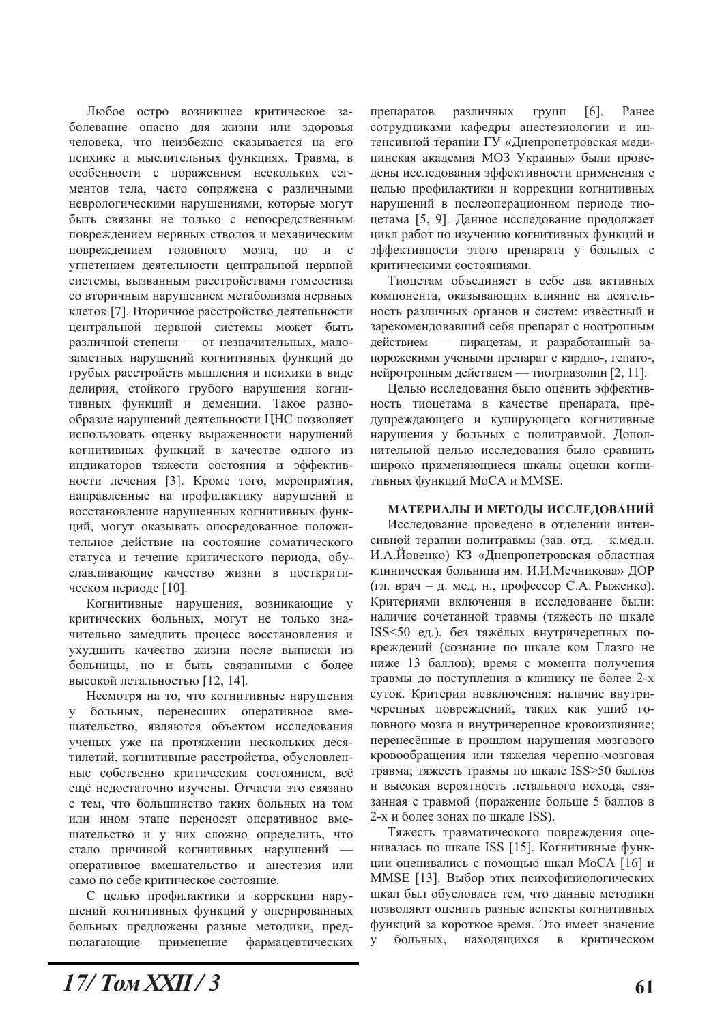Любое остро возникшее критическое заболевание опасно для жизни или здоровья человека, что неизбежно сказывается на его психике и мыслительных функциях. Травма, в особенности с поражением нескольких сегментов тела, часто сопряжена с различными неврологическими нарушениями, которые могут быть связаны не только с непосредственным повреждением нервных стволов и механическим повреждением головного мозга,  $HO$  и с угнетением деятельности центральной нервной системы, вызванным расстройствами гомеостаза со вторичным нарушением метаболизма нервных клеток [7]. Вторичное расстройство деятельности центральной нервной системы может быть различной степени - от незначительных, малозаметных нарушений когнитивных функций до грубых расстройств мышления и психики в виде делирия, стойкого грубого нарушения когнитивных функций и деменции. Такое разнообразие нарушений деятельности ЦНС позволяет использовать оценку выраженности нарушений когнитивных функций в качестве одного из индикаторов тяжести состояния и эффективности лечения [3]. Кроме того, мероприятия, направленные на профилактику нарушений и восстановление нарушенных когнитивных функций, могут оказывать опосредованное положительное действие на состояние соматического статуса и течение критического периода, обуславливающие качество жизни в посткритическом периоде [10].

Когнитивные нарушения, возникающие у критических больных, могут не только значительно замедлить процесс восстановления и ухудшить качество жизни после выписки из больницы, но и быть связанными с более высокой летальностью [12, 14].

Несмотря на то, что когнитивные нарушения больных, перенесших оперативное y  $BMC$ шательство, являются объектом исследования ученых уже на протяжении нескольких десятилетий, когнитивные расстройства, обусловленные собственно критическим состоянием, всё ещё недостаточно изучены. Отчасти это связано с тем, что большинство таких больных на том или ином этапе переносят оперативное вмешательство и у них сложно определить, что стало причиной когнитивных нарушений оперативное вмешательство и анестезия или само по себе критическое состояние.

С целью профилактики и коррекции нарушений когнитивных функций у оперированных больных предложены разные методики, предполагающие применение фармацевтических

препаратов различных групп  $[6]$ . Ранее сотрудниками кафедры анестезиологии и интенсивной терапии ГУ «Днепропетровская медицинская академия МОЗ Украины» были проведены исследования эффективности применения с целью профилактики и коррекции когнитивных нарушений в послеоперационном периоде тиоцетама [5, 9]. Данное исследование продолжает цикл работ по изучению когнитивных функций и эффективности этого препарата у больных с критическими состояниями.

Тиоцетам объединяет в себе два активных компонента, оказывающих влияние на деятельность различных органов и систем: известный и зарекомендовавший себя препарат с ноотропным действием — пирацетам, и разработанный запорожскими учеными препарат с кардио-, гепато-, нейротропным действием — тиотриазолин [2, 11].

Целью исследования было оценить эффективность тиоцетама в качестве препарата, предупреждающего и купирующего когнитивные нарушения у больных с политравмой. Дополнительной целью исследования было сравнить широко применяющиеся шкалы оценки когнитивных функций MoCA и MMSE.

#### МАТЕРИАЛЫ И МЕТОДЫ ИССЛЕДОВАНИЙ

Исследование проведено в отделении интенсивной терапии политравмы (зав. отд. - к.мед.н. И.А.Иовенко) КЗ «Днепропетровская областная клиническая больница им. И.И.Мечникова» ДОР (гл. врач – д. мед. н., профессор С.А. Рыженко). Критериями включения в исследование были: наличие сочетанной травмы (тяжесть по шкале ISS<50 ед.), без тяжёлых внутричерепных повреждений (сознание по шкале ком Глазго не ниже 13 баллов); время с момента получения травмы до поступления в клинику не более 2-х суток. Критерии невключения: наличие внутричерепных повреждений, таких как ушиб головного мозга и внутричерепное кровоизлияние; перенесённые в прошлом нарушения мозгового кровообращения или тяжелая черепно-мозговая травма; тяжесть травмы по шкале ISS>50 баллов и высокая вероятность летального исхода, связанная с травмой (поражение больше 5 баллов в 2-х и более зонах по шкале ISS).

Тяжесть травматического повреждения оценивалась по шкале ISS [15]. Когнитивные функции оценивались с помощью шкал МоСА [16] и MMSE [13]. Выбор этих психофизиологических шкал был обусловлен тем, что данные методики позволяют оценить разные аспекты когнитивных функций за короткое время. Это имеет значение больных, находящихся в критическом  $\mathbf{V}$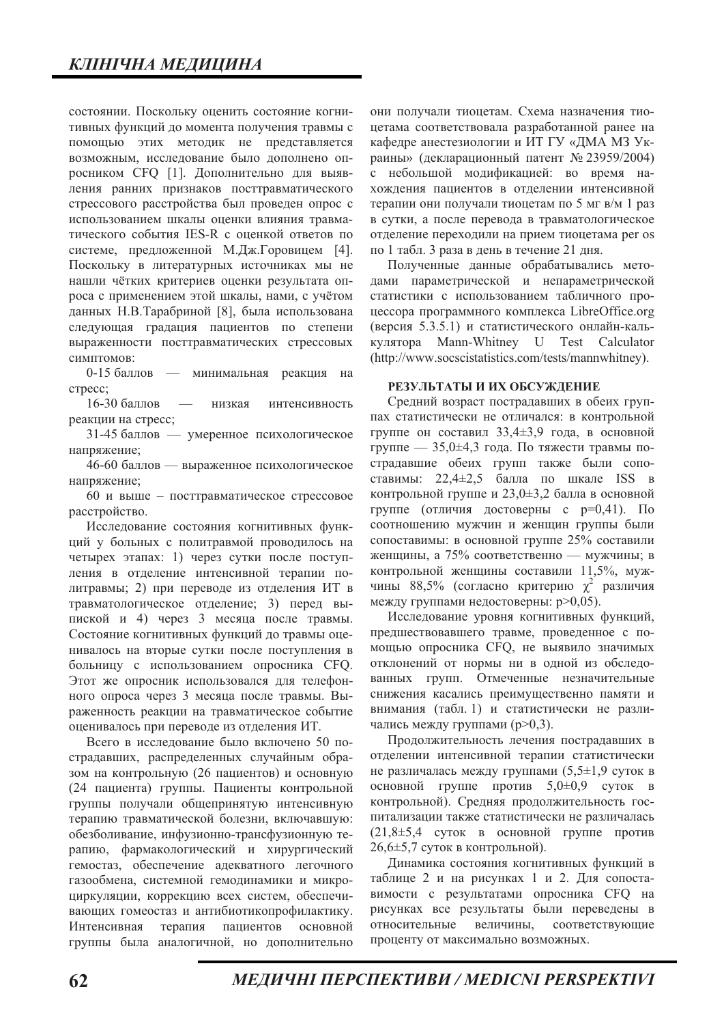состоянии. Поскольку оценить состояние когнитивных функций до момента получения травмы с помощью этих методик не представляется возможным, исследование было дополнено опросником СГО [1]. Дополнительно для выявления ранних признаков посттравматического стрессового расстройства был проведен опрос с использованием шкалы оценки влияния травматического события IES-R с оценкой ответов по системе, предложенной М.Дж.Горовицем [4]. Поскольку в литературных источниках мы не нашли чётких критериев оценки результата опроса с применением этой шкалы, нами, с учётом данных Н.В.Тарабриной [8], была использована следующая градация пациентов по степени выраженности посттравматических стрессовых симптомов:

0-15 баллов - минимальная реакция на crpecc;

16-30 баллов низкая интенсивность реакции на стресс;

31-45 баллов — умеренное психологическое напряжение;

46-60 баллов - выраженное психологическое напряжение;

60 и выше - посттравматическое стрессовое расстройство.

Исследование состояния когнитивных функций у больных с политравмой проводилось на четырех этапах: 1) через сутки после поступления в отделение интенсивной терапии политравмы; 2) при переводе из отделения ИТ в травматологическое отделение; 3) перед выпиской и 4) через 3 месяца после травмы. Состояние когнитивных функций до травмы оценивалось на вторые сутки после поступления в больницу с использованием опросника СГО. Этот же опросник использовался для телефонного опроса через 3 месяца после травмы. Выраженность реакции на травматическое событие оценивалось при переводе из отделения ИТ.

Всего в исследование было включено 50 постралавших, распределенных случайным образом на контрольную (26 пациентов) и основную (24 пациента) группы. Пациенты контрольной группы получали общепринятую интенсивную терапию травматической болезни, включавшую: обезболивание, инфузионно-трансфузионную терапию, фармакологический и хирургический гемостаз, обеспечение адекватного легочного газообмена, системной гемодинамики и микроциркуляции, коррекцию всех систем, обеспечивающих гомеостаз и антибиотикопрофилактику. терапия Интенсивная пациентов основной группы была аналогичной, но дополнительно

они получали тиоцетам. Схема назначения тиоцетама соответствовала разработанной ранее на кафедре анестезиологии и ИТ ГУ «ДМА МЗ Украины» (декларационный патент № 23959/2004) с небольшой модификацией: во время нахождения пациентов в отделении интенсивной терапии они получали тиоцетам по 5 мг в/м 1 раз в сутки, а после перевода в травматологическое отделение переходили на прием тиоцетама per os по 1 табл. 3 раза в день в течение 21 дня.

Полученные данные обрабатывались методами параметрической и непараметрической статистики с использованием табличного процессора программного комплекса LibreOffice.org (версия 5.3.5.1) и статистического онлайн-калькулятора Mann-Whitney U Test Calculator (http://www.socscistatistics.com/tests/mannwhitney).

#### РЕЗУЛЬТАТЫ И ИХ ОБСУЖДЕНИЕ

Средний возраст пострадавших в обеих группах статистически не отличался: в контрольной группе он составил 33,4±3,9 года, в основной группе — 35,0±4,3 года. По тяжести травмы пострадавшие обеих групп также были сопоставимы: 22,4±2,5 балла по шкале ISS в контрольной группе и 23,0±3,2 балла в основной группе (отличия достоверны с р=0,41). По соотношению мужчин и женщин группы были сопоставимы: в основной группе 25% составили женщины, а 75% соответственно — мужчины; в контрольной женщины составили 11,5%, мужчины 88,5% (согласно критерию  $\chi^2$  различия между группами недостоверны: р>0,05).

Исследование уровня когнитивных функций, предшествовавшего травме, проведенное с помощью опросника СГО, не выявило значимых отклонений от нормы ни в одной из обследованных групп. Отмеченные незначительные снижения касались преимущественно памяти и внимания (табл. 1) и статистически не различались между группами (р>0,3).

Продолжительность лечения пострадавших в отделении интенсивной терапии статистически не различалась между группами  $(5,5\pm1,9)$  суток в основной группе против 5,0±0,9 суток в контрольной). Средняя продолжительность госпитализации также статистически не различалась  $(21.8\pm5.4 \text{ cyrok B}$  основной группе против  $26,6 \pm 5,7$  суток в контрольной).

Динамика состояния когнитивных функций в таблице 2 и на рисунках 1 и 2. Для сопоставимости с результатами опросника СЕО на рисунках все результаты были переведены в относительные величины, соответствующие проценту от максимально возможных.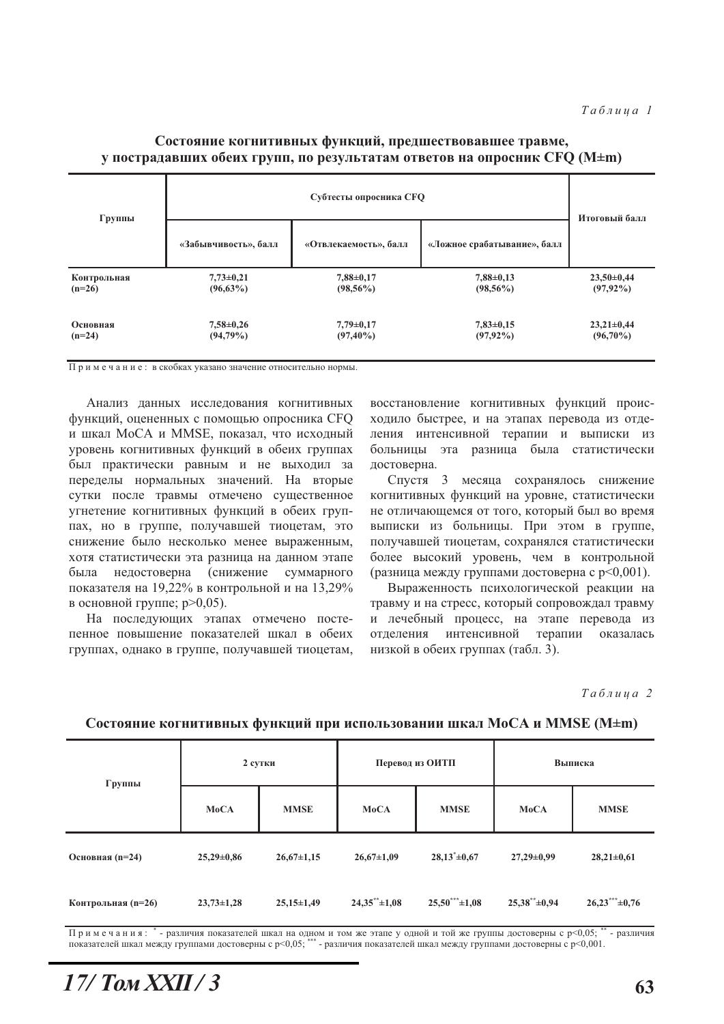#### Субтесты опросника СГО Группы Итоговый балл «Забывчивость», балл «Отвлекаемость», балл «Ложное срабатывание», балл Контрольная  $7.73 \pm 0.21$  $7.88 \pm 0.17$  $7.88 \pm 0.13$  $23.50 \pm 0.44$  $(98.56\%)$  $(97.92\%)$  $(n=26)$  $(96.63\%)$  $(98.56\%)$ Основная  $7.58 \pm 0.26$  $7.79 \pm 0.17$  $7.83 \pm 0.15$  $23.21 \pm 0.44$  $(n=24)$  $(94,79\%)$  $(97, 40\%)$  $(97.92\%)$  $(96,70\%)$

## Состояние когнитивных функций, предшествовавшее травме, у пострадавших обеих групп, по результатам ответов на опросник CFQ (M±m)

Примечание: в скобках указано значение относительно нормы.

Анализ данных исследования когнитивных функций, оцененных с помощью опросника СFQ и шкал MoCA и MMSE, показал, что исходный уровень когнитивных функций в обеих группах был практически равным и не выходил за переделы нормальных значений. На вторые сутки после травмы отмечено существенное угнетение когнитивных функций в обеих группах, но в группе, получавшей тиоцетам, это снижение было несколько менее выраженным, хотя статистически эта разница на данном этапе нелостоверна (снижение была суммарного показателя на 19,22% в контрольной и на 13,29% в основной группе; р>0,05).

На последующих этапах отмечено постепенное повышение показателей шкал в обеих группах, однако в группе, получавшей тиоцетам, восстановление когнитивных функций происходило быстрее, и на этапах перевода из отделения интенсивной терапии и выписки из больницы эта разница была статистически достоверна.

Спустя 3 месяца сохранялось снижение когнитивных функций на уровне, статистически не отличающемся от того, который был во время выписки из больницы. При этом в группе, получавшей тиоцетам, сохранялся статистически более высокий уровень, чем в контрольной (разница между группами достоверна с р<0,001).

Выраженность психологической реакции на травму и на стресс, который сопровождал травму и лечебный процесс, на этапе перевода из отлеления интенсивной терапии оказалась низкой в обеих группах (табл. 3).

Таблица 2

| Группы             | 2 сутки        |                  | Перевод из ОИТП             |                    | Выписка                     |                  |
|--------------------|----------------|------------------|-----------------------------|--------------------|-----------------------------|------------------|
|                    | MoCA           | <b>MMSE</b>      | <b>MoCA</b>                 | <b>MMSE</b>        | <b>MoCA</b>                 | <b>MMSE</b>      |
| Основная (n=24)    | $25,29\pm0.86$ | $26,67 \pm 1,15$ | $26,67 \pm 1,09$            | $28,13^* \pm 0,67$ | $27,29 \pm 0.99$            | $28,21 \pm 0,61$ |
| Контрольная (n=26) | $23,73\pm1,28$ | $25,15\pm1,49$   | $24,35^{\ast\ast} \pm 1,08$ | $25,50***\pm1,08$  | $25,38^{\ast\ast} \pm 0,94$ | $26,23***+0,76$  |

#### Состояние когнитивных функций при использовании шкал MoCA и MMSE (M±m)

Примечания: \* - различия показателей шкал на одном и том же этапе у одной и той же группы достоверны с p<0,05; - различия показателей шкал между группами достоверны с p<0,05; \*\*\* - различия показателей шкал между группами достоверны с p<0,001.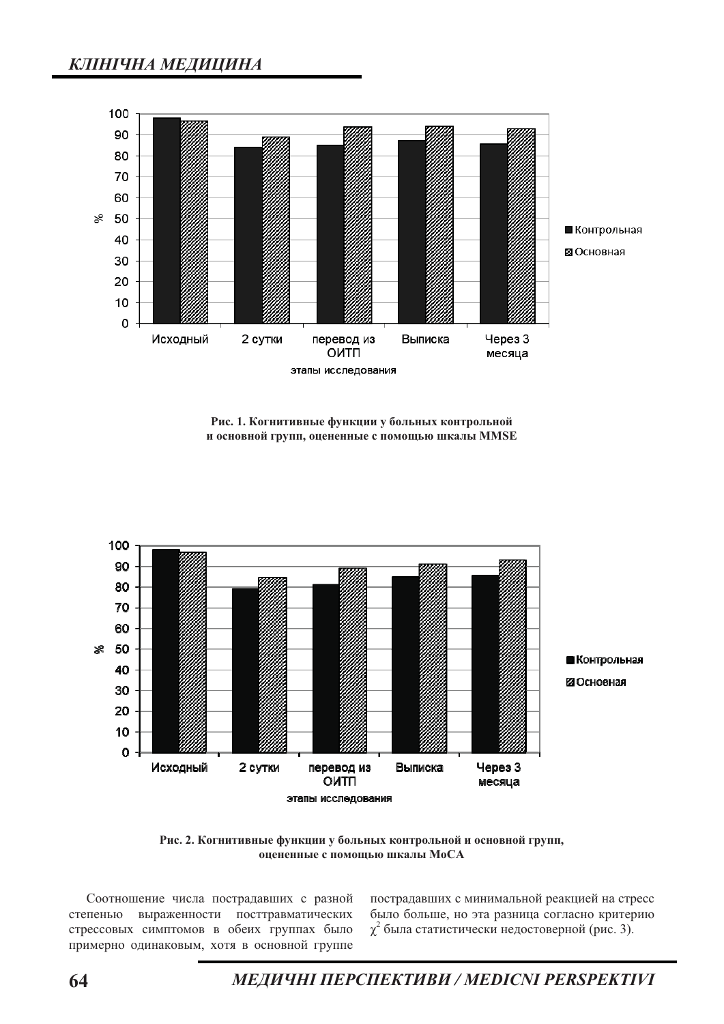

Рис. 1. Когнитивные функции у больных контрольной и основной групп, оцененные с помощью шкалы MMSE



Рис. 2. Когнитивные функции у больных контрольной и основной групп, оцененные с помощью шкалы МоСА

Соотношение числа пострадавших с разной степенью выраженности посттравматических стрессовых симптомов в обеих группах было примерно одинаковым, хотя в основной группе

пострадавших с минимальной реакцией на стресс было больше, но эта разница согласно критерию  $\chi^2$  была статистически недостоверной (рис. 3).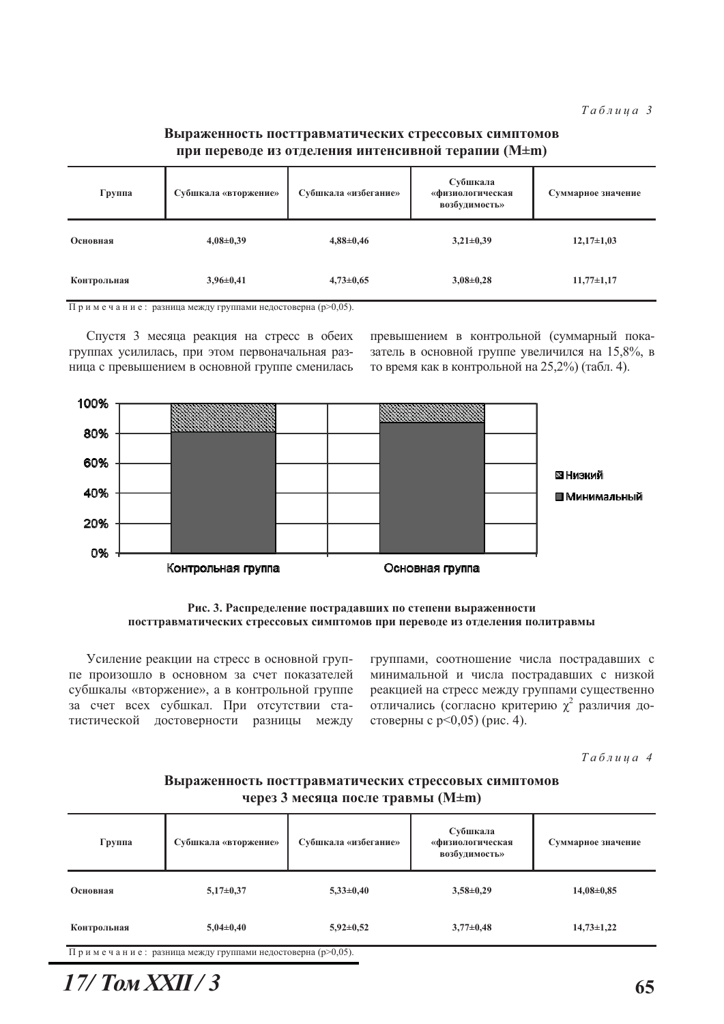## Выраженность посттравматических стрессовых симптомов при переводе из отделения интенсивной терапии (M±m)

| Группа      | Субшкала «вторжение» | Субшкала «избегание» | Субшкала<br>«физиологическая<br>возбудимость» | Суммарное значение |
|-------------|----------------------|----------------------|-----------------------------------------------|--------------------|
| Основная    | $4,08\pm0,39$        | $4,88 \pm 0,46$      | $3,21\pm0,39$                                 | $12,17\pm1,03$     |
| Контрольная | $3,96\pm0,41$        | $4,73 \pm 0,65$      | $3,08\pm0,28$                                 | $11,77\pm1,17$     |

Примечание: разница между группами недостоверна (р>0,05).

Спустя 3 месяца реакция на стресс в обеих группах усилилась, при этом первоначальная разница с превышением в основной группе сменилась превышением в контрольной (суммарный показатель в основной группе увеличился на 15,8%, в то время как в контрольной на 25,2%) (табл. 4).



Рис. 3. Распределение пострадавших по степени выраженности посттравматических стрессовых симптомов при переводе из отделения политравмы

Усиление реакции на стресс в основной группе произошло в основном за счет показателей субшкалы «вторжение», а в контрольной группе за счет всех субшкал. При отсутствии статистической достоверности разницы между группами, соотношение числа пострадавших с минимальной и числа пострадавших с низкой реакцией на стресс между группами существенно отличались (согласно критерию  $\chi^2$  различия достоверны с р $\leq$ 0,05) (рис. 4).

Таблица 4

### Выраженность посттравматических стрессовых симптомов через 3 месяца после травмы (M±m)

| Группа      | Субшкала «вторжение» | Субшкала «избегание» | Субшкала<br>«физиологическая<br>возбудимость» | Суммарное значение |
|-------------|----------------------|----------------------|-----------------------------------------------|--------------------|
| Основная    | $5,17\pm0,37$        | $5,33\pm0,40$        | $3,58\pm0,29$                                 | $14,08\pm0,85$     |
| Контрольная | $5,04\pm0,40$        | $5,92\pm0,52$        | $3,77\pm0,48$                                 | $14,73 \pm 1,22$   |

Примечание: разница между группами недостоверна (р>0,05).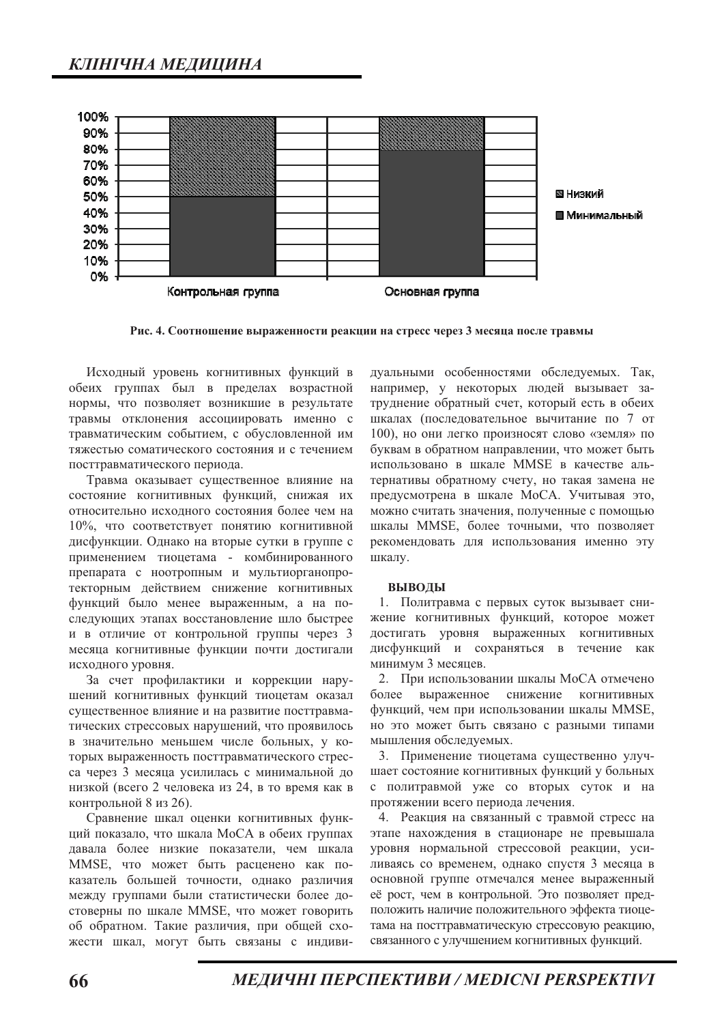

Рис. 4. Соотношение выраженности реакции на стресс через 3 месяца после травмы

Исходный уровень когнитивных функций в обеих группах был в пределах возрастной нормы, что позволяет возникшие в результате травмы отклонения ассоциировать именно с травматическим событием, с обусловленной им тяжестью соматического состояния и с течением посттравматического периода.

Травма оказывает существенное влияние на состояние когнитивных функций, снижая их относительно исходного состояния более чем на 10%, что соответствует понятию когнитивной дисфункции. Однако на вторые сутки в группе с применением тиоцетама - комбинированного препарата с ноотропным и мультиорганопротекторным действием снижение когнитивных функций было менее выраженным, а на последующих этапах восстановление шло быстрее и в отличие от контрольной группы через 3 месяца когнитивные функции почти достигали исходного уровня.

За счет профилактики и коррекции нарушений когнитивных функций тиоцетам оказал существенное влияние и на развитие посттравматических стрессовых нарушений, что проявилось в значительно меньшем числе больных, у которых выраженность посттравматического стресса через 3 месяца усилилась с минимальной до низкой (всего 2 человека из 24, в то время как в контрольной 8 из 26).

Сравнение шкал оценки когнитивных функций показало, что шкала МоСА в обеих группах давала более низкие показатели, чем шкала MMSE, что может быть расценено как показатель большей точности, однако различия между группами были статистически более достоверны по шкале MMSE, что может говорить об обратном. Такие различия, при общей схожести шкал, могут быть связаны с индивидуальными особенностями обследуемых. Так, например, у некоторых людей вызывает затруднение обратный счет, который есть в обеих шкалах (последовательное вычитание по 7 от 100), но они легко произносят слово «земля» по буквам в обратном направлении, что может быть использовано в шкале MMSE в качестве альтернативы обратному счету, но такая замена не предусмотрена в шкале МоСА. Учитывая это, можно считать значения, полученные с помощью шкалы MMSE, более точными, что позволяет рекомендовать для использования именно эту шкалу.

#### ВЫВОДЫ

1. Политравма с первых суток вызывает снижение когнитивных функций, которое может достигать уровня выраженных когнитивных дисфункций и сохраняться в течение как минимум 3 месяцев.

2. При использовании шкалы МоСА отмечено более выраженное снижение когнитивных функций, чем при использовании шкалы MMSE, но это может быть связано с разными типами мышления обследуемых.

3. Применение тиоцетама существенно улучшает состояние когнитивных функций у больных с политравмой уже со вторых суток и на протяжении всего периода лечения.

4. Реакция на связанный с травмой стресс на этапе нахождения в стационаре не превышала уровня нормальной стрессовой реакции, усиливаясь со временем, однако спустя 3 месяца в основной группе отмечался менее выраженный её рост, чем в контрольной. Это позволяет предположить наличие положительного эффекта тиоцетама на посттравматическую стрессовую реакцию, связанного с улучшением когнитивных функций.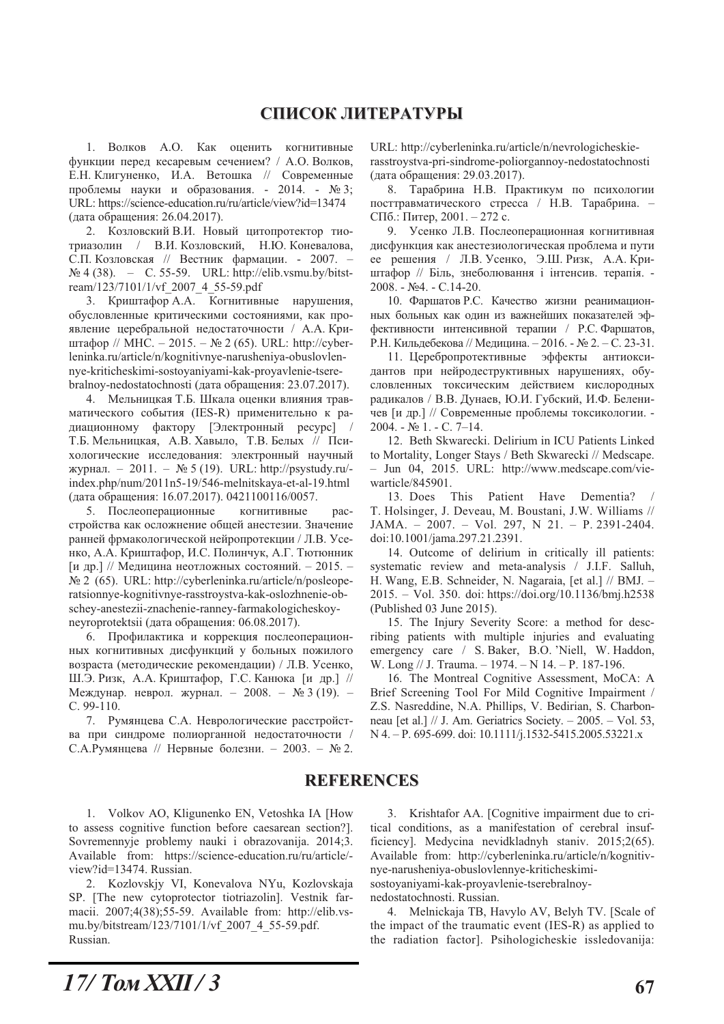## СПИСОК ЛИТЕРАТУРЫ

1. Волков А.О. Как оценить когнитивные функции перед кесаревым сечением? / А.О. Волков, Е.Н. Клигуненко, И.А. Ветошка // Современные проблемы науки и образования. - 2014. - № 3; URL: https://science-education.ru/ru/article/view?id=13474 (дата обращения: 26.04.2017).

2. Козловский В.И. Новый цитопротектор тиотриазолин / В.И. Козловский, Н.Ю. Коневалова, С.П. Козловская // Вестник фармации. - 2007.  $\mathbb{N}^{\circ}$  4 (38). – C. 55-59. URL: http://elib.vsmu.by/bitstream/123/7101/1/vf\_2007\_4\_55-59.pdf

3. Криштафор А.А. Когнитивные нарушения, обусловленные критическими состояниями, как проявление церебральной недостаточности / А.А. Криштафор // МНС. - 2015. - № 2 (65). URL: http://cyberleninka.ru/article/n/kognitivnye-narusheniya-obuslovlennye-kriticheskimi-sostoyaniyami-kak-proyavlenie-tserebralnoy-nedostatochnosti (дата обращения: 23.07.2017).

4. Мельницкая Т.Б. Шкала оценки влияния травматического события (IES-R) применительно к радиационному фактору [Электронный ресурс] / Т.Б. Мельницкая, А.В. Хавыло, Т.В. Белых // Психологические исследования: электронный научный журнал. - 2011. - № 5 (19). URL: http://psystudy.ru/index.php/num/2011n5-19/546-melnitskaya-et-al-19.html (дата обращения: 16.07.2017). 0421100116/0057.

5. Послеоперационные когнитивные pacстройства как осложнение общей анестезии. Значение ранней фрмакологической нейропротекции / Л.В. Усенко, А.А. Криштафор, И.С. Полинчук, А.Г. Тютюнник [и др.] // Медицина неотложных состояний. - 2015. -№ 2 (65). URL: http://cyberleninka.ru/article/n/posleoperatsionnye-kognitivnye-rasstroystva-kak-oslozhnenie-obschey-anestezii-znachenie-ranney-farmakologicheskoyneyroprotektsii (дата обращения: 06.08.2017).

6. Профилактика и коррекция послеоперационных когнитивных дисфункций у больных пожилого возраста (методические рекомендации) / Л.В. Усенко, Ш.Э. Ризк, А.А. Криштафор, Г.С. Канюка [и др.] // Междунар. неврол. журнал. - 2008. - № 3 (19). - $C.99-110.$ 

7. Румянцева С.А. Неврологические расстройства при синдроме полиорганной недостаточности / С.А.Румянцева // Нервные болезни. - 2003. - № 2. URL: http://cyberleninka.ru/article/n/nevrologicheskierasstrovstva-pri-sindrome-poliorgannov-nedostatochnosti (дата обращения: 29.03.2017).

8. Тарабрина Н.В. Практикум по психологии посттравматического стресса / Н.В. Тарабрина. -СПб.: Питер, 2001. - 272 с.

9. Усенко Л.В. Послеоперационная когнитивная дисфункция как анестезиологическая проблема и пути ее решения / Л.В. Усенко, Э.Ш. Ризк, А.А. Криштафор // Біль, знеболювання і інтенсив. терапія. -2008. - №4. - С.14-20.

10. Фаршатов Р.С. Качество жизни реанимационных больных как один из важнейших показателей эффективности интенсивной терапии / Р.С. Фаршатов, Р.Н. Кильдебекова // Медицина. - 2016. - № 2. - С. 23-31.

11. Церебропротективные эффекты антиоксидантов при нейродеструктивных нарушениях, обусловленных токсическим действием кислородных радикалов / В.В. Дунаев, Ю.И. Губский, И.Ф. Беленичев [и др.] // Современные проблемы токсикологии. - $2004. - N<sub>2</sub> 1. - C. 7-14.$ 

12. Beth Skwarecki. Delirium in ICU Patients Linked to Mortality, Longer Stays / Beth Skwarecki // Medscape. - Jun 04, 2015. URL: http://www.medscape.com/viewarticle/845901.

13. Does This Patient Have Dementia? T. Holsinger, J. Deveau, M. Boustani, J.W. Williams // JAMA. - 2007. - Vol. 297, N 21. - P. 2391-2404. doi:10.1001/jama.297.21.2391.

14. Outcome of delirium in critically ill patients: systematic review and meta-analysis / J.I.F. Salluh, H. Wang, E.B. Schneider, N. Nagaraia, [et al.] // BMJ. -2015. - Vol. 350. doi: https://doi.org/10.1136/bmj.h2538 (Published 03 June 2015).

15. The Injury Severity Score: a method for describing patients with multiple injuries and evaluating emergency care / S. Baker, B.O. 'Niell, W. Haddon, W. Long // J. Trauma.  $-1974. - N$  14.  $- P$ . 187-196.

16. The Montreal Cognitive Assessment, MoCA: A Brief Screening Tool For Mild Cognitive Impairment / Z.S. Nasreddine, N.A. Phillips, V. Bedirian, S. Charbonneau [et al.] // J. Am. Geriatrics Society.  $- 2005$ .  $-$  Vol. 53, N 4. - P. 695-699. doi: 10.1111/j.1532-5415.2005.53221.x

## **REFERENCES**

1. Volkov AO, Kligunenko EN, Vetoshka IA [How to assess cognitive function before caesarean section?]. Sovremennyje problemy nauki i obrazovanija. 2014;3. Available from: https://science-education.ru/ru/article/view?id=13474. Russian.

2. Kozlovskiy VI, Konevalova NYu, Kozlovskaja SP. [The new cytoprotector tiotriazolin]. Vestnik farmacii. 2007;4(38);55-59. Available from: http://elib.vsmu.by/bitstream/123/7101/1/vf 2007 4 55-59.pdf. Russian.

3. Krishtafor AA. [Cognitive impairment due to critical conditions, as a manifestation of cerebral insufficiency]. Medycina nevidkladnyh staniv. 2015;2(65). Available from: http://cyberleninka.ru/article/n/kognitivnye-narusheniya-obuslovlennye-kriticheskimisostoyaniyami-kak-proyavlenie-tserebralnoy-

nedostatochnosti. Russian.

4. Melnickaja TB, Havylo AV, Belyh TV. [Scale of the impact of the traumatic event (IES-R) as applied to the radiation factor]. Psihologicheskie issledovanija: